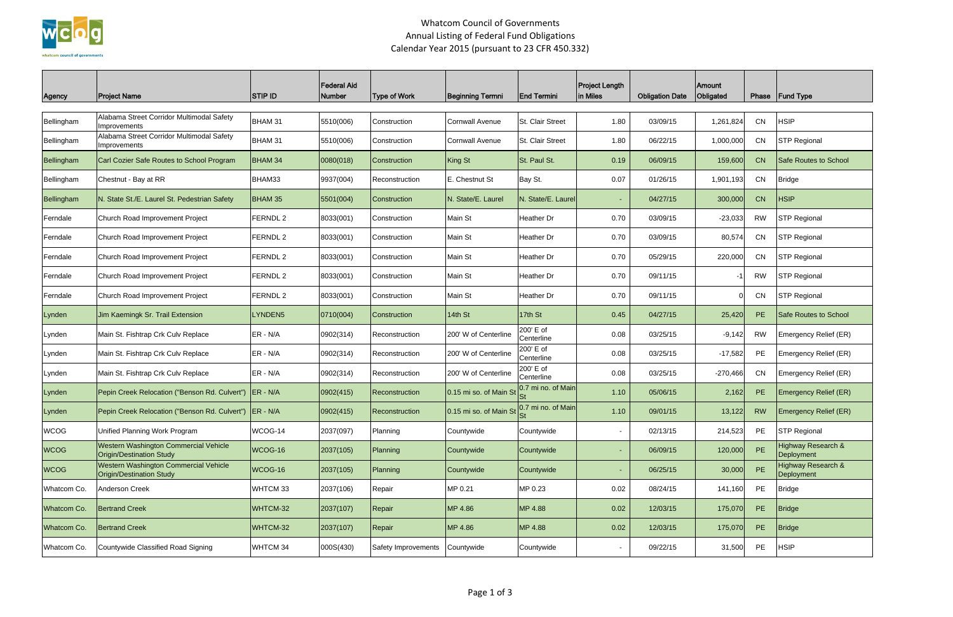

## Whatcom Council of Governments Annual Listing of Federal Fund Obligations Calendar Year 2015 (pursuant to 23 CFR 450.332)

| Agency      | <b>Project Name</b>                                                      | <b>STIP ID</b>   | <b>Federal Aid</b><br>Number | <b>Type of Work</b> | <b>Beginning Termni</b>        | <b>End Termini</b>        | <b>Project Length</b><br>in Miles | <b>Obligation Date</b> | Amount<br><b>Obligated</b> | Phase     | <b>Fund Type</b>                            |
|-------------|--------------------------------------------------------------------------|------------------|------------------------------|---------------------|--------------------------------|---------------------------|-----------------------------------|------------------------|----------------------------|-----------|---------------------------------------------|
| Bellingham  | Alabama Street Corridor Multimodal Safety<br>Improvements                | BHAM 31          | 5510(006)                    | Construction        | <b>Cornwall Avenue</b>         | St. Clair Street          | 1.80                              | 03/09/15               | 1,261,824                  | CN        | <b>HSIP</b>                                 |
| Bellingham  | Alabama Street Corridor Multimodal Safety<br>Improvements                | BHAM 31          | 5510(006)                    | Construction        | <b>Cornwall Avenue</b>         | St. Clair Street          | 1.80                              | 06/22/15               | 1,000,000                  | CN        | <b>STP Regional</b>                         |
| Bellingham  | Carl Cozier Safe Routes to School Program                                | <b>BHAM 34</b>   | 0080(018)                    | Construction        | King St                        | St. Paul St.              | 0.19                              | 06/09/15               | 159,600                    | <b>CN</b> | Safe Routes to School                       |
| Bellingham  | Chestnut - Bay at RR                                                     | BHAM33           | 9937(004)                    | Reconstruction      | E. Chestnut St                 | Bay St.                   | 0.07                              | 01/26/15               | 1,901,193                  | CN        | <b>Bridge</b>                               |
| Bellingham  | N. State St./E. Laurel St. Pedestrian Safety                             | <b>BHAM 35</b>   | 5501(004)                    | Construction        | <b>N.</b> State/E. Laurel      | N. State/E. Laurel        |                                   | 04/27/15               | 300,000                    | CN        | <b>HSIP</b>                                 |
| Ferndale    | Church Road Improvement Project                                          | <b>FERNDL2</b>   | 8033(001)                    | Construction        | Main St                        | Heather Dr                | 0.70                              | 03/09/15               | $-23,033$                  | <b>RW</b> | <b>STP Regional</b>                         |
| Ferndale    | Church Road Improvement Project                                          | <b>FERNDL 2</b>  | 8033(001)                    | Construction        | Main St                        | Heather Dr                | 0.70                              | 03/09/15               | 80,574                     | <b>CN</b> | <b>STP Regional</b>                         |
| Ferndale    | Church Road Improvement Project                                          | FERNDL 2         | 8033(001)                    | Construction        | Main St                        | Heather Dr                | 0.70                              | 05/29/15               | 220,000                    | <b>CN</b> | <b>STP Regional</b>                         |
| Ferndale    | Church Road Improvement Project                                          | FERNDL 2         | 8033(001)                    | Construction        | Main St                        | Heather Dr                | 0.70                              | 09/11/15               |                            | <b>RW</b> | <b>STP Regional</b>                         |
| Ferndale    | Church Road Improvement Project                                          | FERNDL 2         | 8033(001)                    | Construction        | Main St                        | Heather Dr                | 0.70                              | 09/11/15               |                            | CN        | <b>STP Regional</b>                         |
| Lynden      | Jim Kaemingk Sr. Trail Extension                                         | LYNDEN5          | 0710(004)                    | Construction        | 14th St                        | 17th St                   | 0.45                              | 04/27/15               | 25,420                     | <b>PE</b> | Safe Routes to School                       |
| Lynden      | Main St. Fishtrap Crk Culv Replace                                       | ER - N/A         | 0902(314)                    | Reconstruction      | 200' W of Centerline           | 200' E of<br>Centerline   | 0.08                              | 03/25/15               | $-9,142$                   | <b>RW</b> | Emergency Relief (ER)                       |
| Lynden      | Main St. Fishtrap Crk Culv Replace                                       | ER - N/A         | 0902(314)                    | Reconstruction      | 200' W of Centerline           | 200' E of<br>Centerline   | 0.08                              | 03/25/15               | $-17,582$                  | PE        | Emergency Relief (ER)                       |
| Lynden      | Main St. Fishtrap Crk Culv Replace                                       | $ER - N/A$       | 0902(314)                    | Reconstruction      | 200' W of Centerline           | 200' E of<br>Centerline   | 0.08                              | 03/25/15               | $-270,466$                 | CN        | Emergency Relief (ER)                       |
| Lynden      | Pepin Creek Relocation ("Benson Rd. Culvert")                            | <b>IER - N/A</b> | 0902(415)                    | Reconstruction      | 0.15 mi so. of Main S          | 0.7 mi no. of Main        | 1.10                              | 05/06/15               | 2,162                      | PE.       | <b>Emergency Relief (ER)</b>                |
| Lynden      | Pepin Creek Relocation ("Benson Rd. Culvert")                            | $IER - N/A$      | 0902(415)                    | Reconstruction      | 0.15 mi so. of Main St $_{St}$ | 0.7 mi no. of Main<br>יטן | 1.10                              | 09/01/15               | 13,122                     | <b>RW</b> | <b>Emergency Relief (ER)</b>                |
| <b>WCOG</b> | Unified Planning Work Program                                            | WCOG-14          | 2037(097)                    | Planning            | Countywide                     | Countywide                | $\blacksquare$                    | 02/13/15               | 214,523                    | PE        | <b>STP Regional</b>                         |
| <b>WCOG</b> | Western Washington Commercial Vehicle<br><b>Origin/Destination Study</b> | WCOG-16          | 2037(105)                    | Planning            | Countywide                     | Countywide                | ٠                                 | 06/09/15               | 120,000                    | PE        | <b>Highway Research &amp;</b><br>Deployment |
| <b>WCOG</b> | Western Washington Commercial Vehicle<br><b>Origin/Destination Study</b> | WCOG-16          | 2037(105)                    | Planning            | Countywide                     | Countywide                | ٠                                 | 06/25/15               | 30,000                     | PE        | <b>Highway Research &amp;</b><br>Deployment |
| Whatcom Co. | Anderson Creek                                                           | WHTCM 33         | 2037(106)                    | Repair              | MP 0.21                        | MP 0.23                   | 0.02                              | 08/24/15               | 141,160                    | PE        | <b>Bridge</b>                               |
| Whatcom Co. | <b>Bertrand Creek</b>                                                    | WHTCM-32         | 2037(107)                    | Repair              | MP 4.86                        | MP 4.88                   | 0.02                              | 12/03/15               | 175,070                    | PE        | <b>Bridge</b>                               |
| Whatcom Co. | <b>Bertrand Creek</b>                                                    | WHTCM-32         | 2037(107)                    | Repair              | MP 4.86                        | MP 4.88                   | 0.02                              | 12/03/15               | 175,070                    | PE        | <b>Bridge</b>                               |
| Whatcom Co. | Countywide Classified Road Signing                                       | WHTCM 34         | 000S(430)                    | Safety Improvements | Countywide                     | Countywide                | $\overline{\phantom{a}}$          | 09/22/15               | 31,500                     | PE        | <b>HSIP</b>                                 |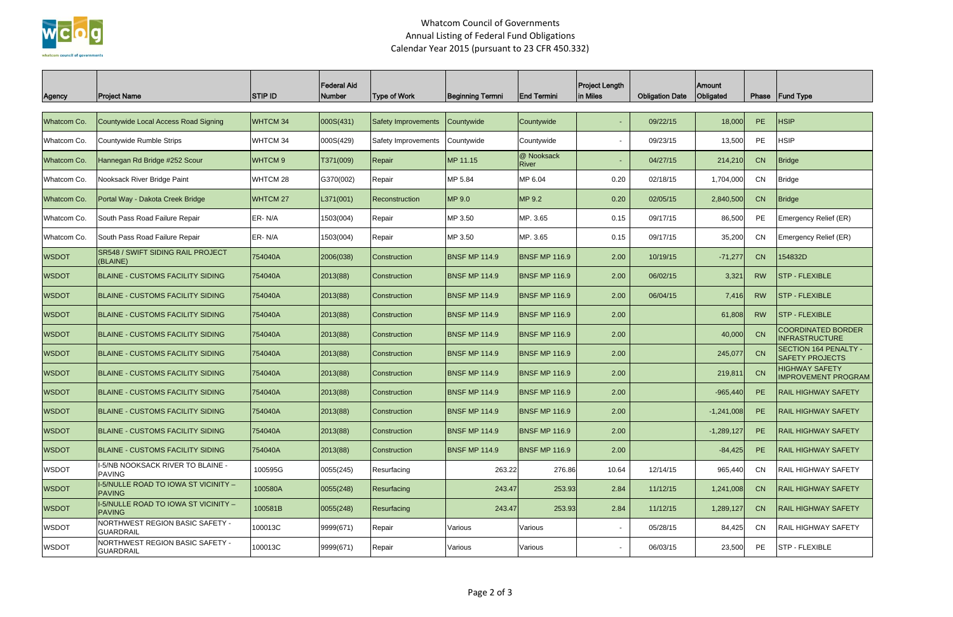

## Whatcom Council of Governments Annual Listing of Federal Fund Obligations Calendar Year 2015 (pursuant to 23 CFR 450.332)

| Agency       | <b>Project Name</b>                                   | <b>STIP ID</b>     | <b>Federal Aid</b><br>Number | <b>Type of Work</b> | <b>Beginning Termni</b> | End Termini                | <b>Project Length</b><br>in Miles | <b>Obligation Date</b> | <b>Amount</b><br>Obligated | Phase     | <b>Fund Type</b>                                    |
|--------------|-------------------------------------------------------|--------------------|------------------------------|---------------------|-------------------------|----------------------------|-----------------------------------|------------------------|----------------------------|-----------|-----------------------------------------------------|
| Whatcom Co.  | Countywide Local Access Road Signing                  | WHTCM 34           | 000S(431)                    | Safety Improvements | Countywide              | Countywide                 | $\overline{\phantom{a}}$          | 09/22/15               | 18,000                     | PE        | <b>HSIP</b>                                         |
| Whatcom Co.  | Countywide Rumble Strips                              | WHTCM 34           | 000S(429)                    | Safety Improvements | Countywide              | Countywide                 | $\overline{\phantom{0}}$          | 09/23/15               | 13,500                     | PE        | <b>HSIP</b>                                         |
| Whatcom Co.  | Hannegan Rd Bridge #252 Scour                         | WHTCM <sub>9</sub> | T371(009)                    | Repair              | MP 11.15                | @ Nooksack<br><b>River</b> |                                   | 04/27/15               | 214,210                    | CN        | Bridge                                              |
| Whatcom Co.  | Nooksack River Bridge Paint                           | WHTCM 28           | G370(002)                    | Repair              | MP 5.84                 | MP 6.04                    | 0.20                              | 02/18/15               | 1,704,000                  | CN        | <b>Bridge</b>                                       |
| Whatcom Co.  | Portal Way - Dakota Creek Bridge                      | WHTCM 27           | L371(001)                    | Reconstruction      | MP 9.0                  | MP 9.2                     | 0.20                              | 02/05/15               | 2,840,500                  | CN        | Bridge                                              |
| Whatcom Co.  | South Pass Road Failure Repair                        | ER-N/A             | 1503(004)                    | Repair              | MP 3.50                 | MP. 3.65                   | 0.15                              | 09/17/15               | 86,500                     | PE        | Emergency Relief (ER)                               |
| Whatcom Co.  | South Pass Road Failure Repair                        | ER-N/A             | 1503(004)                    | Repair              | MP 3.50                 | MP. 3.65                   | 0.15                              | 09/17/15               | 35,200                     | <b>CN</b> | Emergency Relief (ER)                               |
| <b>WSDOT</b> | SR548 / SWIFT SIDING RAIL PROJECT<br>(BLAINE)         | 754040A            | 2006(038)                    | Construction        | <b>BNSF MP 114.9</b>    | <b>BNSF MP 116.9</b>       | 2.00                              | 10/19/15               | $-71,277$                  | CN        | 154832D                                             |
| <b>WSDOT</b> | <b>BLAINE - CUSTOMS FACILITY SIDING</b>               | 754040A            | 2013(88)                     | Construction        | <b>BNSF MP 114.9</b>    | <b>BNSF MP 116.9</b>       | 2.00                              | 06/02/15               | 3,321                      | <b>RW</b> | <b>STP - FLEXIBLE</b>                               |
| <b>WSDOT</b> | <b>BLAINE - CUSTOMS FACILITY SIDING</b>               | 754040A            | 2013(88)                     | Construction        | <b>BNSF MP 114.9</b>    | <b>BNSF MP 116.9</b>       | 2.00                              | 06/04/15               | 7,416                      | <b>RW</b> | <b>STP - FLEXIBLE</b>                               |
| <b>WSDOT</b> | <b>BLAINE - CUSTOMS FACILITY SIDING</b>               | 754040A            | 2013(88)                     | Construction        | <b>BNSF MP 114.9</b>    | <b>BNSF MP 116.9</b>       | 2.00                              |                        | 61,808                     | <b>RW</b> | <b>STP - FLEXIBLE</b>                               |
| <b>WSDOT</b> | <b>BLAINE - CUSTOMS FACILITY SIDING</b>               | 754040A            | 2013(88)                     | <b>Construction</b> | <b>BNSF MP 114.9</b>    | <b>BNSF MP 116.9</b>       | 2.00                              |                        | 40,000                     | <b>CN</b> | <b>COORDINATED BORDER</b><br><b>INFRASTRUCTURE</b>  |
| <b>WSDOT</b> | <b>BLAINE - CUSTOMS FACILITY SIDING</b>               | 754040A            | 2013(88)                     | Construction        | <b>BNSF MP 114.9</b>    | <b>BNSF MP 116.9</b>       | 2.00                              |                        | 245,077                    | <b>CN</b> | SECTION 164 PENALTY -<br><b>SAFETY PROJECTS</b>     |
| <b>WSDOT</b> | <b>BLAINE - CUSTOMS FACILITY SIDING</b>               | 754040A            | 2013(88)                     | Construction        | <b>BNSF MP 114.9</b>    | <b>BNSF MP 116.9</b>       | 2.00                              |                        | 219,811                    | <b>CN</b> | <b>HIGHWAY SAFETY</b><br><b>IMPROVEMENT PROGRAM</b> |
| <b>WSDOT</b> | <b>BLAINE - CUSTOMS FACILITY SIDING</b>               | 754040A            | 2013(88)                     | Construction        | <b>BNSF MP 114.9</b>    | <b>BNSF MP 116.9</b>       | 2.00                              |                        | $-965,440$                 | PE        | <b>RAIL HIGHWAY SAFETY</b>                          |
| <b>WSDOT</b> | BLAINE - CUSTOMS FACILITY SIDING                      | 754040A            | 2013(88)                     | Construction        | <b>BNSF MP 114.9</b>    | <b>BNSF MP 116.9</b>       | 2.00                              |                        | $-1,241,008$               | PE.       | <b>RAIL HIGHWAY SAFETY</b>                          |
| <b>WSDOT</b> | <b>BLAINE - CUSTOMS FACILITY SIDING</b>               | 754040A            | 2013(88)                     | Construction        | <b>BNSF MP 114.9</b>    | <b>BNSF MP 116.9</b>       | 2.00                              |                        | $-1,289,127$               | PE        | <b>RAIL HIGHWAY SAFETY</b>                          |
| <b>WSDOT</b> | BLAINE - CUSTOMS FACILITY SIDING                      | 754040A            | 2013(88)                     | <b>Construction</b> | <b>BNSF MP 114.9</b>    | <b>BNSF MP 116.9</b>       | 2.00                              |                        | $-84,425$                  | PE        | <b>RAIL HIGHWAY SAFETY</b>                          |
| <b>WSDOT</b> | I-5/NB NOOKSACK RIVER TO BLAINE -<br><b>PAVING</b>    | 100595G            | 0055(245)                    | Resurfacing         | 263.22                  | 276.86                     | 10.64                             | 12/14/15               | 965,440                    | CN        | <b>RAIL HIGHWAY SAFETY</b>                          |
| <b>WSDOT</b> | I-5/NULLE ROAD TO IOWA ST VICINITY -<br><b>PAVING</b> | 100580A            | 0055(248)                    | Resurfacing         | 243.47                  | 253.93                     | 2.84                              | 11/12/15               | 1,241,008                  | CN        | <b>RAIL HIGHWAY SAFETY</b>                          |
| <b>WSDOT</b> | I-5/NULLE ROAD TO IOWA ST VICINITY -<br><b>PAVING</b> | 100581B            | 0055(248)                    | Resurfacing         | 243.47                  | 253.93                     | 2.84                              | 11/12/15               | 1,289,127                  | CN        | <b>RAIL HIGHWAY SAFETY</b>                          |
| <b>WSDOT</b> | NORTHWEST REGION BASIC SAFETY -<br><b>GUARDRAIL</b>   | 100013C            | 9999(671)                    | Repair              | Various                 | Various                    | $\sim$                            | 05/28/15               | 84,425                     | CN        | RAIL HIGHWAY SAFETY                                 |
| <b>WSDOT</b> | NORTHWEST REGION BASIC SAFETY -<br><b>GUARDRAIL</b>   | 100013C            | 9999(671)                    | Repair              | Various                 | Various                    | $\blacksquare$                    | 06/03/15               | 23,500                     | PE        | <b>STP - FLEXIBLE</b>                               |